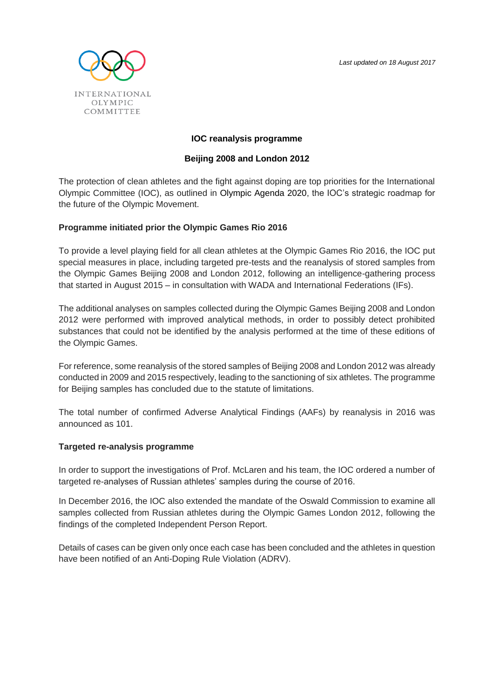

### **IOC reanalysis programme**

### **Beijing 2008 and London 2012**

The protection of clean athletes and the fight against doping are top priorities for the International Olympic Committee (IOC), as outlined in [Olympic Agenda 2020,](https://stillmed.olympic.org/media/Document%20Library/OlympicOrg/Documents/Olympic-Agenda-2020/Olympic-Agenda-2020-Context-and-Background.pdf) the IOC's strategic roadmap for the future of the Olympic Movement.

### **Programme initiated prior the Olympic Games Rio 2016**

To provide a level playing field for all clean athletes at the Olympic Games Rio 2016, the IOC put special measures in place, including targeted pre-tests and the reanalysis of stored samples from the Olympic Games Beijing 2008 and London 2012, following an intelligence-gathering process that started in August 2015 – in consultation with WADA and International Federations (IFs).

The additional analyses on samples collected during the Olympic Games Beijing 2008 and London 2012 were performed with improved analytical methods, in order to possibly detect prohibited substances that could not be identified by the analysis performed at the time of these editions of the Olympic Games.

For reference, some reanalysis of the stored samples of Beijing 2008 and London 2012 was already conducted in 2009 and 2015 respectively, leading to the sanctioning of six athletes. The programme for Beijing samples has concluded due to the statute of limitations.

The total number of confirmed Adverse Analytical Findings (AAFs) by reanalysis in 2016 was announced as 101.

#### **Targeted re-analysis programme**

In order to support the investigations of Prof. McLaren and his team, the IOC ordered a number of targeted re-analyses of Russian athletes' samples during the course of 2016.

In December 2016, the IOC also extended the mandate of the Oswald Commission to examine all samples collected from Russian athletes during the Olympic Games London 2012, following the findings of the completed Independent Person Report.

Details of cases can be given only once each case has been concluded and the athletes in question have been notified of an Anti-Doping Rule Violation (ADRV).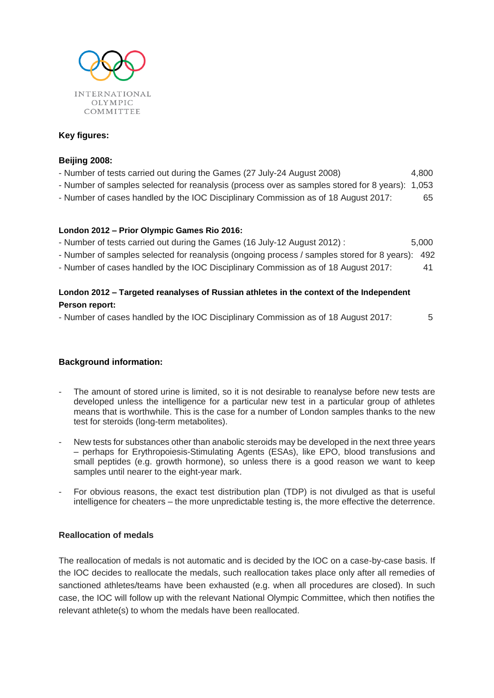

# **Key figures:**

### **Beijing 2008:**

- Number of tests carried out during the Games (27 July-24 August 2008) 4,800
- Number of samples selected for reanalysis (process over as samples stored for 8 years): 1,053
- Number of cases handled by the IOC Disciplinary Commission as of 18 August 2017: 65

### **London 2012 – Prior Olympic Games Rio 2016:**

- Number of tests carried out during the Games (16 July-12 August 2012) : 5,000
- Number of samples selected for reanalysis (ongoing process / samples stored for 8 years): 492
- Number of cases handled by the IOC Disciplinary Commission as of 18 August 2017: 41

# **London 2012 – Targeted reanalyses of Russian athletes in the context of the Independent Person report:**

- Number of cases handled by the IOC Disciplinary Commission as of 18 August 2017: 5

# **Background information:**

- The amount of stored urine is limited, so it is not desirable to reanalyse before new tests are developed unless the intelligence for a particular new test in a particular group of athletes means that is worthwhile. This is the case for a number of London samples thanks to the new test for steroids (long-term metabolites).
- New tests for substances other than anabolic steroids may be developed in the next three years – perhaps for Erythropoiesis-Stimulating Agents (ESAs), like EPO, blood transfusions and small peptides (e.g. growth hormone), so unless there is a good reason we want to keep samples until nearer to the eight-year mark.
- For obvious reasons, the exact test distribution plan (TDP) is not divulged as that is useful intelligence for cheaters – the more unpredictable testing is, the more effective the deterrence.

# **Reallocation of medals**

The reallocation of medals is not automatic and is decided by the IOC on a case-by-case basis. If the IOC decides to reallocate the medals, such reallocation takes place only after all remedies of sanctioned athletes/teams have been exhausted (e.g. when all procedures are closed). In such case, the IOC will follow up with the relevant National Olympic Committee, which then notifies the relevant athlete(s) to whom the medals have been reallocated.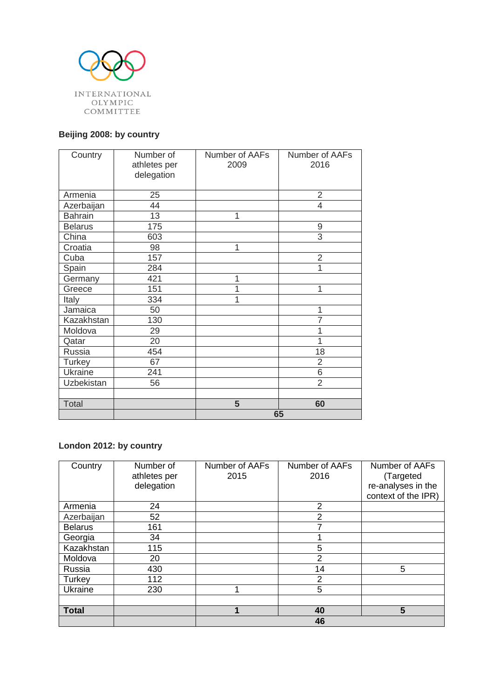

# **Beijing 2008: by country**

| Country        | Number of<br>athletes per<br>delegation | Number of AAFs<br>2009 | Number of AAFs<br>2016 |
|----------------|-----------------------------------------|------------------------|------------------------|
|                |                                         |                        |                        |
| Armenia        | 25                                      |                        | $\overline{2}$         |
| Azerbaijan     | 44                                      |                        | $\overline{4}$         |
| <b>Bahrain</b> | 13                                      | 1                      |                        |
| <b>Belarus</b> | 175                                     |                        | 9                      |
| China          | 603                                     |                        | $\overline{3}$         |
| Croatia        | 98                                      | 1                      |                        |
| Cuba           | 157                                     |                        | $\overline{2}$         |
| Spain          | 284                                     |                        | 1                      |
| Germany        | 421                                     | 1                      |                        |
| Greece         | 151                                     | 1                      | 1                      |
| Italy          | 334                                     | 1                      |                        |
| Jamaica        | 50                                      |                        | 1                      |
| Kazakhstan     | 130                                     |                        | $\overline{7}$         |
| Moldova        | 29                                      |                        | 1                      |
| Qatar          | 20                                      |                        | 1                      |
| Russia         | 454                                     |                        | 18                     |
| <b>Turkey</b>  | 67                                      |                        | $\overline{2}$         |
| Ukraine        | 241                                     |                        | 6                      |
| Uzbekistan     | 56                                      |                        | $\overline{2}$         |
|                |                                         |                        |                        |
| Total          |                                         | 5                      | 60                     |
|                |                                         | 65                     |                        |

# **London 2012: by country**

| Country        | Number of    | Number of AAFs | Number of AAFs | Number of AAFs      |
|----------------|--------------|----------------|----------------|---------------------|
|                | athletes per | 2015           | 2016           | (Targeted           |
|                | delegation   |                |                | re-analyses in the  |
|                |              |                |                | context of the IPR) |
| Armenia        | 24           |                | 2              |                     |
| Azerbaijan     | 52           |                | 2              |                     |
| <b>Belarus</b> | 161          |                | 7              |                     |
| Georgia        | 34           |                |                |                     |
| Kazakhstan     | 115          |                | 5              |                     |
| Moldova        | 20           |                | $\overline{2}$ |                     |
| Russia         | 430          |                | 14             | 5                   |
| Turkey         | 112          |                | $\overline{2}$ |                     |
| Ukraine        | 230          | 1              | 5              |                     |
|                |              |                |                |                     |
| <b>Total</b>   |              | 1              | 40             | 5                   |
|                |              | 46             |                |                     |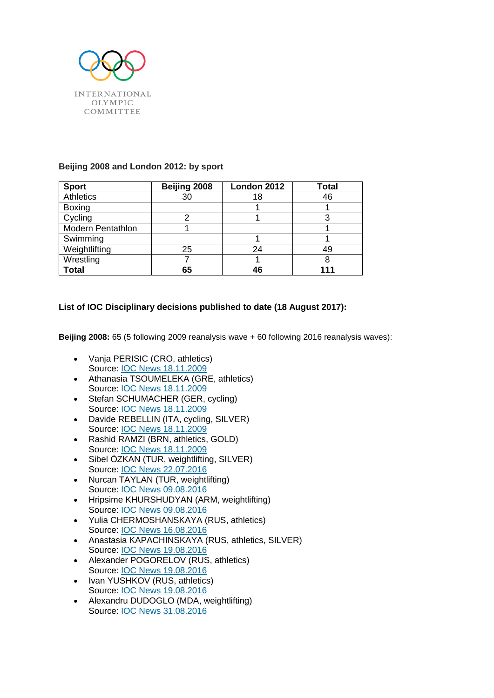

## **Beijing 2008 and London 2012: by sport**

| <b>Sport</b>             | Beijing 2008 | London 2012 | Total |
|--------------------------|--------------|-------------|-------|
| Athletics                | 30           | 18          | 46    |
| <b>Boxing</b>            |              |             |       |
| Cycling                  |              |             |       |
| <b>Modern Pentathlon</b> |              |             |       |
| Swimming                 |              |             |       |
| Weightlifting            | 25           | 24          | 49    |
| Wrestling                |              |             | 8     |
| Total                    | 65           | 46          |       |

# **List of IOC Disciplinary decisions published to date (18 August 2017):**

**Beijing 2008:** 65 (5 following 2009 reanalysis wave + 60 following 2016 reanalysis waves):

- Vanja PERISIC (CRO, athletics) Source: [IOC News 18.11.2009](https://www.olympic.org/news/ioc-sanctions-five-athletes-who-competed-in-beijing)
- Athanasia TSOUMELEKA (GRE, athletics) Source: [IOC News 18.11.2009](https://www.olympic.org/news/ioc-sanctions-five-athletes-who-competed-in-beijing)
- Stefan SCHUMACHER (GER, cycling) Source: [IOC News 18.11.2009](https://www.olympic.org/news/ioc-sanctions-five-athletes-who-competed-in-beijing)
- Davide REBELLIN (ITA, cycling, SILVER) Source: [IOC News 18.11.2009](https://www.olympic.org/news/ioc-sanctions-five-athletes-who-competed-in-beijing)
- Rashid RAMZI (BRN, athletics, GOLD) Source: [IOC News 18.11.2009](https://www.olympic.org/news/ioc-sanctions-five-athletes-who-competed-in-beijing)
- Sibel ÖZKAN (TUR, weightlifting, SILVER) Source: [IOC News 22.07.2016](https://www.olympic.org/news/ioc-sanctions-turkish-weightlifter-for-failing-anti-doping-test-at-beijing-2008)
- Nurcan TAYLAN (TUR, weightlifting) Source: IOC [News 09.08.2016](https://www.olympic.org/news/ioc-sanctions-four-athletes-for-failing-anti-doping-tests-at-beijing-2008-and-london-2012)
- Hripsime KHURSHUDYAN (ARM, weightlifting) Source: IOC [News 09.08.2016](https://www.olympic.org/news/ioc-sanctions-four-athletes-for-failing-anti-doping-tests-at-beijing-2008-and-london-2012)
- Yulia CHERMOSHANSKAYA (RUS, athletics) Source: [IOC News 16.08.2016](https://www.olympic.org/news/ioc-sanctions-yulia-chermoshanskaya-for-failing-anti-doping-test-at-beijing-2008)
- Anastasia KAPACHINSKAYA (RUS, athletics, SILVER) Source: [IOC News 19.08.2016](https://www.olympic.org/news/ioc-sanctions-three-athletes-for-failing-anti-doping-tests-at-beijing-2008)
- Alexander POGORELOV (RUS, athletics) Source: [IOC News 19.08.2016](https://www.olympic.org/news/ioc-sanctions-three-athletes-for-failing-anti-doping-tests-at-beijing-2008)
- Ivan YUSHKOV (RUS, athletics) Source: [IOC News 19.08.2016](https://www.olympic.org/news/ioc-sanctions-three-athletes-for-failing-anti-doping-tests-at-beijing-2008)
- Alexandru DUDOGLO (MDA, weightlifting) Source: [IOC News 31.08.2016](https://www.olympic.org/news/ioc-sanctions-six-athletes-for-failing-anti-doping-tests-at-beijing-2008)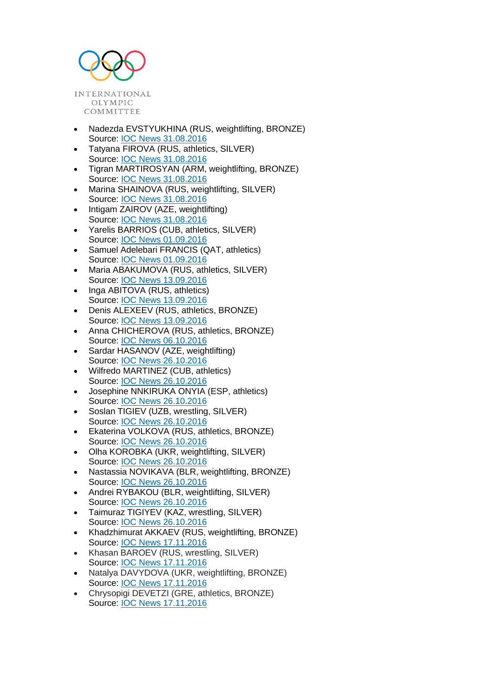

- Nadezda EVSTYUKHINA (RUS, weightlifting, BRONZE) Source: [IOC News 31.08.2016](https://www.olympic.org/news/ioc-sanctions-six-athletes-for-failing-anti-doping-tests-at-beijing-2008)
- Tatyana FIROVA (RUS, athletics, SILVER) Source: [IOC News 31.08.2016](https://www.olympic.org/news/ioc-sanctions-six-athletes-for-failing-anti-doping-tests-at-beijing-2008)
- Tigran MARTIROSYAN (ARM, weightlifting, BRONZE) Source: [IOC News 31.08.2016](https://www.olympic.org/news/ioc-sanctions-six-athletes-for-failing-anti-doping-tests-at-beijing-2008)
- Marina SHAINOVA (RUS, weightlifting, SILVER) Source: [IOC News 31.08.2016](https://www.olympic.org/news/ioc-sanctions-six-athletes-for-failing-anti-doping-tests-at-beijing-2008)
- Intigam ZAIROV (AZE, weightlifting) Source: [IOC News 31.08.2016](https://www.olympic.org/news/ioc-sanctions-six-athletes-for-failing-anti-doping-tests-at-beijing-2008)
- Yarelis BARRIOS (CUB, athletics, SILVER) Source: [IOC News 01.09.2016](https://www.olympic.org/news/ioc-sanctions-two-athletes-for-failing-anti-doping-tests-at-beijing-2008)
- Samuel Adelebari FRANCIS (QAT, athletics) Source: [IOC News 01.09.2016](https://www.olympic.org/news/ioc-sanctions-two-athletes-for-failing-anti-doping-tests-at-beijing-2008)
- Maria ABAKUMOVA (RUS, athletics, SILVER) Source: [IOC News 13.09.2016](https://www.olympic.org/news/ioc-sanctions-four-athletes-for-failing-anti-doping-tests-at-beijing-2008-and-london-2012-1)
- Inga ABITOVA (RUS, athletics) Source: [IOC News 13.09.2016](https://www.olympic.org/news/ioc-sanctions-four-athletes-for-failing-anti-doping-tests-at-beijing-2008-and-london-2012-1)
- Denis ALEXEEV (RUS, athletics, BRONZE) Source: [IOC News 13.09.2016](https://www.olympic.org/news/ioc-sanctions-four-athletes-for-failing-anti-doping-tests-at-beijing-2008-and-london-2012-1)
- Anna CHICHEROVA (RUS, athletics, BRONZE) Source: [IOC News 06.10.2016](https://www.olympic.org/news/ioc-sanctions-anna-chicherova-for-failing-anti-doping-test-at-beijing-2008)
- Sardar HASANOV (AZE, weightlifting) Source: [IOC News 26.10.2016](https://www.olympic.org/news/ioc-sanctions-nine-athletes-for-failing-anti-doping-test-at-beijing-2008)
- Wilfredo MARTINEZ (CUB, athletics) Source: [IOC News 26.10.2016](https://www.olympic.org/news/ioc-sanctions-nine-athletes-for-failing-anti-doping-test-at-beijing-2008)
- Josephine NNKIRUKA ONYIA (ESP, athletics) Source: [IOC News 26.10.2016](https://www.olympic.org/news/ioc-sanctions-nine-athletes-for-failing-anti-doping-test-at-beijing-2008)
- Soslan TIGIEV (UZB, wrestling, SILVER) Source: [IOC News 26.10.2016](https://www.olympic.org/news/ioc-sanctions-nine-athletes-for-failing-anti-doping-test-at-beijing-2008)
- Ekaterina VOLKOVA (RUS, athletics, BRONZE) Source: [IOC News 26.10.2016](https://www.olympic.org/news/ioc-sanctions-nine-athletes-for-failing-anti-doping-test-at-beijing-2008)
- Olha KOROBKA (UKR, weightlifting, SILVER) Source: [IOC News 26.10.2016](https://www.olympic.org/news/ioc-sanctions-nine-athletes-for-failing-anti-doping-test-at-beijing-2008)
- Nastassia NOVIKAVA (BLR, weightlifting, BRONZE) Source: [IOC News 26.10.2016](https://www.olympic.org/news/ioc-sanctions-nine-athletes-for-failing-anti-doping-test-at-beijing-2008)
- Andrei RYBAKOU (BLR, weightlifting, SILVER) Source: [IOC News 26.10.2016](https://www.olympic.org/news/ioc-sanctions-nine-athletes-for-failing-anti-doping-test-at-beijing-2008)
- Taimuraz TIGIYEV (KAZ, wrestling, SILVER) Source: [IOC News 26.10.2016](https://www.olympic.org/news/ioc-sanctions-nine-athletes-for-failing-anti-doping-test-at-beijing-2008)
- Khadzhimurat AKKAEV (RUS, weightlifting, BRONZE) Source: [IOC News 17.11.2016](https://www.olympic.org/news/ioc-sanctions-16-athletes-for-failing-anti-doping-tests-at-beijing-2008)
- Khasan BAROEV (RUS, wrestling, SILVER) Source: [IOC News 17.11.2016](https://www.olympic.org/news/ioc-sanctions-16-athletes-for-failing-anti-doping-tests-at-beijing-2008)
- Natalya DAVYDOVA (UKR, weightlifting, BRONZE) Source: [IOC News 17.11.2016](https://www.olympic.org/news/ioc-sanctions-16-athletes-for-failing-anti-doping-tests-at-beijing-2008)
- Chrysopigi DEVETZI (GRE, athletics, BRONZE) Source: [IOC News 17.11.2016](https://www.olympic.org/news/ioc-sanctions-16-athletes-for-failing-anti-doping-tests-at-beijing-2008)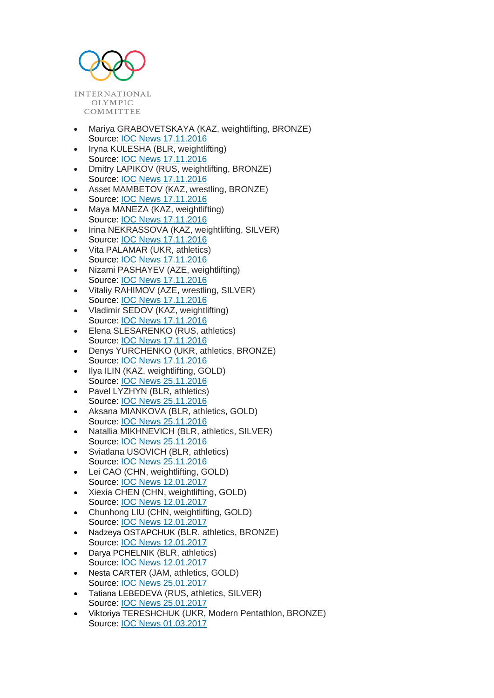

- Mariya GRABOVETSKAYA (KAZ, weightlifting, BRONZE) Source: [IOC News 17.11.2016](https://www.olympic.org/news/ioc-sanctions-16-athletes-for-failing-anti-doping-tests-at-beijing-2008)
- Iryna KULESHA (BLR, weightlifting) Source: [IOC News 17.11.2016](https://www.olympic.org/news/ioc-sanctions-16-athletes-for-failing-anti-doping-tests-at-beijing-2008)
- Dmitry LAPIKOV (RUS, weightlifting, BRONZE) Source: [IOC News 17.11.2016](https://www.olympic.org/news/ioc-sanctions-16-athletes-for-failing-anti-doping-tests-at-beijing-2008)
- Asset MAMBETOV (KAZ, wrestling, BRONZE) Source: [IOC News 17.11.2016](https://www.olympic.org/news/ioc-sanctions-16-athletes-for-failing-anti-doping-tests-at-beijing-2008)
- Maya MANEZA (KAZ, weightlifting) Source: [IOC News 17.11.2016](https://www.olympic.org/news/ioc-sanctions-16-athletes-for-failing-anti-doping-tests-at-beijing-2008)
- Irina NEKRASSOVA (KAZ, weightlifting, SILVER) Source: [IOC News 17.11.2016](https://www.olympic.org/news/ioc-sanctions-16-athletes-for-failing-anti-doping-tests-at-beijing-2008)
- Vita PALAMAR (UKR, athletics) Source: [IOC News 17.11.2016](https://www.olympic.org/news/ioc-sanctions-16-athletes-for-failing-anti-doping-tests-at-beijing-2008)
- Nizami PASHAYEV (AZE, weightlifting) Source: [IOC News 17.11.2016](https://www.olympic.org/news/ioc-sanctions-16-athletes-for-failing-anti-doping-tests-at-beijing-2008)
- Vitaliy RAHIMOV (AZE, wrestling, SILVER) Source: [IOC News 17.11.2016](https://www.olympic.org/news/ioc-sanctions-16-athletes-for-failing-anti-doping-tests-at-beijing-2008)
- Vladimir SEDOV (KAZ, weightlifting) Source: [IOC News 17.11.2016](https://www.olympic.org/news/ioc-sanctions-16-athletes-for-failing-anti-doping-tests-at-beijing-2008)
- Elena SLESARENKO (RUS, athletics) Source: [IOC News 17.11.2016](https://www.olympic.org/news/ioc-sanctions-16-athletes-for-failing-anti-doping-tests-at-beijing-2008)
- Denys YURCHENKO (UKR, athletics, BRONZE) Source: [IOC News 17.11.2016](https://www.olympic.org/news/ioc-sanctions-16-athletes-for-failing-anti-doping-tests-at-beijing-2008)
- Ilya ILIN (KAZ, weightlifting, GOLD) Source: [IOC News 25.11.2016](https://www.olympic.org/news/ioc-sanctions-seven-athletes-for-failing-anti-doping-tests-at-beijing-2008-and-london-2012)
- Pavel LYZHYN (BLR, athletics) Source: [IOC News 25.11.2016](https://www.olympic.org/news/ioc-sanctions-seven-athletes-for-failing-anti-doping-tests-at-beijing-2008-and-london-2012)
- Aksana MIANKOVA (BLR, athletics, GOLD) Source: [IOC News 25.11.2016](https://www.olympic.org/news/ioc-sanctions-seven-athletes-for-failing-anti-doping-tests-at-beijing-2008-and-london-2012)
- Natallia MIKHNEVICH (BLR, athletics, SILVER) Source: [IOC News 25.11.2016](https://www.olympic.org/news/ioc-sanctions-seven-athletes-for-failing-anti-doping-tests-at-beijing-2008-and-london-2012)
- Sviatlana USOVICH (BLR, athletics) Source: [IOC News 25.11.2016](https://www.olympic.org/news/ioc-sanctions-seven-athletes-for-failing-anti-doping-tests-at-beijing-2008-and-london-2012)
- Lei CAO (CHN, weightlifting, GOLD) Source: [IOC News 12.01.2017](http://www.olympic.org/news/ioc-sanctions-eight-athletes-for-failing-anti-doping-test-at-beijing-2008-and-london-2012)
- Xiexia CHEN (CHN, weightlifting, GOLD) Source: [IOC News 12.01.2017](http://www.olympic.org/news/ioc-sanctions-eight-athletes-for-failing-anti-doping-test-at-beijing-2008-and-london-2012)
- Chunhong LIU (CHN, weightlifting, GOLD) Source: [IOC News 12.01.2017](http://www.olympic.org/news/ioc-sanctions-eight-athletes-for-failing-anti-doping-test-at-beijing-2008-and-london-2012)
- Nadzeya OSTAPCHUK (BLR, athletics, BRONZE) Source: [IOC News 12.01.2017](http://www.olympic.org/news/ioc-sanctions-eight-athletes-for-failing-anti-doping-test-at-beijing-2008-and-london-2012)
- Darya PCHELNIK (BLR, athletics) Source: [IOC News 12.01.2017](http://www.olympic.org/news/ioc-sanctions-eight-athletes-for-failing-anti-doping-test-at-beijing-2008-and-london-2012)
- Nesta CARTER (JAM, athletics, GOLD) Source: [IOC News 25.01.2017](https://www.olympic.org/news/ioc-sanctions-two-athletes-for-failing-anti-doping-test-at-beijing-2008)
- Tatiana LEBEDEVA (RUS, athletics, SILVER) Source: [IOC News 25.01.2017](https://www.olympic.org/news/ioc-sanctions-two-athletes-for-failing-anti-doping-test-at-beijing-2008)
- Viktoriya TERESHCHUK (UKR, Modern Pentathlon, BRONZE) Source: IOC News 01.03.2017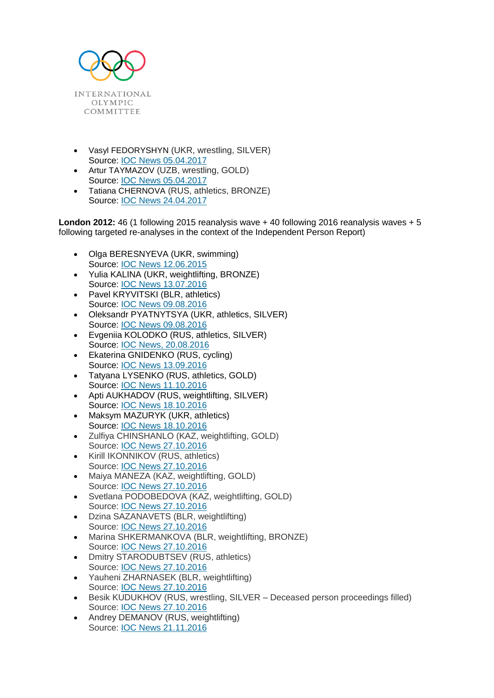

- Vasyl FEDORYSHYN (UKR, wrestling, SILVER) Source: [IOC News 05.04.2017](https://www.olympic.org/news/ioc-sanctions-three-athletes-for-failing-anti-doping-test-at-beijing-2008-and-london-2012)
- Artur TAYMAZOV (UZB, wrestling, GOLD) Source: [IOC News 05.04.2017](https://www.olympic.org/news/ioc-sanctions-three-athletes-for-failing-anti-doping-test-at-beijing-2008-and-london-2012)
- Tatiana CHERNOVA (RUS, athletics, BRONZE) Source: [IOC News 24.04.2017](https://www.olympic.org/news/ioc-sanctions-two-athletes-for-failing-anti-doping-test-at-beijing-2008-and-london-2012)

**London 2012:** 46 (1 following 2015 reanalysis wave + 40 following 2016 reanalysis waves + 5 following targeted re-analyses in the context of the Independent Person Report)

- Olga BERESNYEVA (UKR, swimming) Source: [IOC News 12.06.2015](http://www.olympic.org/news/ukrainian-swimmer-olga-beresnyeva-disqualified-and-excluded-from-the-olympic-games-london-2012-after-failing-re-analysis-of-samples/246336)
- Yulia KALINA (UKR, weightlifting, BRONZE) Source: [IOC News 13.07.2016](https://www.olympic.org/news/ioc-sanctions-ukrainian-weightlifter-yulia-kalina-for-failing-anti-doping-test-at-london-2012)
- Pavel KRYVITSKI (BLR, athletics) Source: [IOC News 09.08.2016](https://www.olympic.org/news/ioc-sanctions-four-athletes-for-failing-anti-doping-tests-at-beijing-2008-and-london-2012)
- Oleksandr PYATNYTSYA (UKR, athletics, SILVER) Source: [IOC News 09.08.2016](https://www.olympic.org/news/ioc-sanctions-four-athletes-for-failing-anti-doping-tests-at-beijing-2008-and-london-2012)
- Evgeniia KOLODKO (RUS, athletics, SILVER) Source: [IOC News, 20.08.2016](https://www.olympic.org/news/ioc-sanctions-evgeniia-kolodko-for-failing-anti-doping-test-at-london-2012)
- Ekaterina GNIDENKO (RUS, cycling) Source: [IOC News 13.09.2016](https://www.olympic.org/news/ioc-sanctions-four-athletes-for-failing-anti-doping-tests-at-beijing-2008-and-london-2012-1)
- Tatyana LYSENKO (RUS, athletics, GOLD) Source: [IOC News 11.10.2016](https://www.olympic.org/news/ioc-sanctions-tatyana-lysenko-for-failing-anti-doping-test-at-london-2012)
- Apti AUKHADOV (RUS, weightlifting, SILVER) Source: [IOC News 18.10.2016](https://www.olympic.org/news/ioc-sanctions-two-athletes-for-failing-anti-doping-test-at-london-2012)
- Maksym MAZURYK (UKR, athletics) Source: [IOC News 18.10.2016](https://www.olympic.org/news/ioc-sanctions-two-athletes-for-failing-anti-doping-test-at-london-2012)
- Zulfiya CHINSHANLO (KAZ, weightlifting, GOLD) Source: [IOC News 27.10.2016](https://www.olympic.org/news/ioc-sanctions-eight-athletes-for-failing-anti-doping-test-at-london-2012)
- Kirill IKONNIKOV (RUS, athletics) Source: [IOC News 27.10.2016](https://www.olympic.org/news/ioc-sanctions-eight-athletes-for-failing-anti-doping-test-at-london-2012)
- Maiya MANEZA (KAZ, weightlifting, GOLD) Source: [IOC News 27.10.2016](https://www.olympic.org/news/ioc-sanctions-eight-athletes-for-failing-anti-doping-test-at-london-2012)
- Svetlana PODOBEDOVA (KAZ, weightlifting, GOLD) Source: [IOC News 27.10.2016](https://www.olympic.org/news/ioc-sanctions-eight-athletes-for-failing-anti-doping-test-at-london-2012)
- Dzina SAZANAVETS (BLR, weightlifting) Source: [IOC News 27.10.2016](https://www.olympic.org/news/ioc-sanctions-eight-athletes-for-failing-anti-doping-test-at-london-2012)
- Marina SHKERMANKOVA (BLR, weightlifting, BRONZE) Source: [IOC News 27.10.2016](https://www.olympic.org/news/ioc-sanctions-eight-athletes-for-failing-anti-doping-test-at-london-2012)
- Dmitry STARODUBTSEV (RUS, athletics) Source: [IOC News 27.10.2016](https://www.olympic.org/news/ioc-sanctions-eight-athletes-for-failing-anti-doping-test-at-london-2012)
- Yauheni ZHARNASEK (BLR, weightlifting) Source: [IOC News 27.10.2016](https://www.olympic.org/news/ioc-sanctions-eight-athletes-for-failing-anti-doping-test-at-london-2012)
- Besik KUDUKHOV (RUS, wrestling, SILVER Deceased person proceedings filled) Source: [IOC News 27.10.2016](https://www.olympic.org/news/ioc-sanctions-eight-athletes-for-failing-anti-doping-test-at-london-2012)
- Andrey DEMANOV (RUS, weightlifting) Source: [IOC News 21.11.2016](https://www.olympic.org/news/ioc-sanctions-12-athletes-for-failing-anti-doping-test-at-london-2012)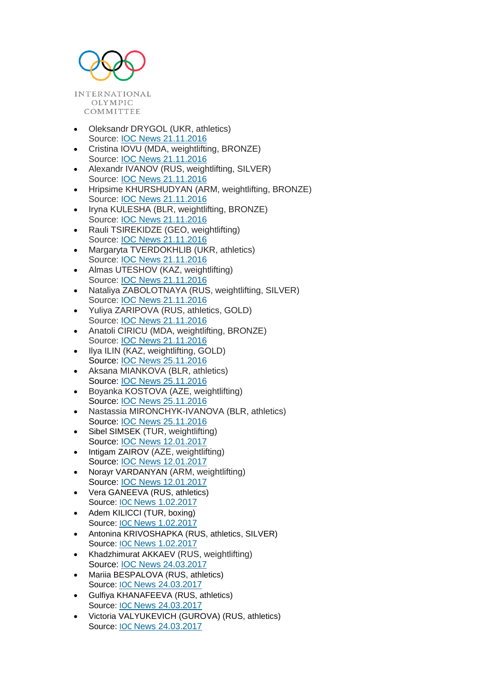

- Oleksandr DRYGOL (UKR, athletics) Source: [IOC News 21.11.2016](https://www.olympic.org/news/ioc-sanctions-12-athletes-for-failing-anti-doping-test-at-london-2012)
- Cristina IOVU (MDA, weightlifting, BRONZE) Source: [IOC News 21.11.2016](https://www.olympic.org/news/ioc-sanctions-12-athletes-for-failing-anti-doping-test-at-london-2012)
- Alexandr IVANOV (RUS, weightlifting, SILVER) Source: [IOC News 21.11.2016](https://www.olympic.org/news/ioc-sanctions-12-athletes-for-failing-anti-doping-test-at-london-2012)
- Hripsime KHURSHUDYAN (ARM, weightlifting, BRONZE) Source: [IOC News 21.11.2016](https://www.olympic.org/news/ioc-sanctions-12-athletes-for-failing-anti-doping-test-at-london-2012)
- Iryna KULESHA (BLR, weightlifting, BRONZE) Source: [IOC News 21.11.2016](https://www.olympic.org/news/ioc-sanctions-12-athletes-for-failing-anti-doping-test-at-london-2012)
- Rauli TSIREKIDZE (GEO, weightlifting) Source: [IOC News 21.11.2016](https://www.olympic.org/news/ioc-sanctions-12-athletes-for-failing-anti-doping-test-at-london-2012)
- Margaryta TVERDOKHLIB (UKR, athletics) Source: [IOC News 21.11.2016](https://www.olympic.org/news/ioc-sanctions-12-athletes-for-failing-anti-doping-test-at-london-2012)
- Almas UTESHOV (KAZ, weightlifting) Source: [IOC News 21.11.2016](https://www.olympic.org/news/ioc-sanctions-12-athletes-for-failing-anti-doping-test-at-london-2012)
- Nataliya ZABOLOTNAYA (RUS, weightlifting, SILVER) Source: [IOC News 21.11.2016](https://www.olympic.org/news/ioc-sanctions-12-athletes-for-failing-anti-doping-test-at-london-2012)
- Yuliya ZARIPOVA (RUS, athletics, GOLD) Source: [IOC News 21.11.2016](https://www.olympic.org/news/ioc-sanctions-12-athletes-for-failing-anti-doping-test-at-london-2012)
- Anatoli CIRICU (MDA, weightlifting, BRONZE) Source: [IOC News 21.11.2016](https://www.olympic.org/news/ioc-sanctions-12-athletes-for-failing-anti-doping-test-at-london-2012)
- Ilya ILIN (KAZ, weightlifting, GOLD) Source: [IOC News 25.11.2016](https://www.olympic.org/news/ioc-sanctions-seven-athletes-for-failing-anti-doping-tests-at-beijing-2008-and-london-2012)
- Aksana MIANKOVA (BLR, athletics) Source: [IOC News 25.11.2016](https://www.olympic.org/news/ioc-sanctions-seven-athletes-for-failing-anti-doping-tests-at-beijing-2008-and-london-2012)
- Boyanka KOSTOVA (AZE, weightlifting) Source: [IOC News 25.11.2016](https://www.olympic.org/news/ioc-sanctions-seven-athletes-for-failing-anti-doping-tests-at-beijing-2008-and-london-2012)
- Nastassia MIRONCHYK-IVANOVA (BLR, athletics) Source: [IOC News 25.11.2016](https://www.olympic.org/news/ioc-sanctions-seven-athletes-for-failing-anti-doping-tests-at-beijing-2008-and-london-2012)
- Sibel SIMSEK (TUR, weightlifting) Source: [IOC News 12.01.2017](http://www.olympic.org/news/ioc-sanctions-eight-athletes-for-failing-anti-doping-test-at-beijing-2008-and-london-2012)
- Intigam ZAIROV (AZE, weightlifting) Source: [IOC News 12.01.2017](http://www.olympic.org/news/ioc-sanctions-eight-athletes-for-failing-anti-doping-test-at-beijing-2008-and-london-2012)
- Norayr VARDANYAN (ARM, weightlifting) Source: [IOC News 12.01.2017](http://www.olympic.org/news/ioc-sanctions-eight-athletes-for-failing-anti-doping-test-at-beijing-2008-and-london-2012)
- Vera GANEEVA (RUS, athletics) Source: IOC [News 1.02.2017](https://www.olympic.org/news/ioc-sanctions-three-athletes-for-failing-anti-doping-test-at-london-2012)
- Adem KILICCI (TUR, boxing) Source: IOC [News 1.02.2017](https://www.olympic.org/news/ioc-sanctions-three-athletes-for-failing-anti-doping-test-at-london-2012)
- Antonina KRIVOSHAPKA (RUS, athletics, SILVER) Source: IOC [News 1.02.2017](https://www.olympic.org/news/ioc-sanctions-three-athletes-for-failing-anti-doping-test-at-london-2012)
- Khadzhimurat AKKAEV (RUS, weightlifting) Source: [IOC News 24.03.2017](https://www.olympic.org/news/ioc-sanctions-four-russian-athletes-for-failing-anti-doping-tests-at-london-2012-following-a-targeted-wave-of-re-analyses)
- Mariia BESPALOVA (RUS, athletics) Source: IOC [News 24.03.2017](https://www.olympic.org/news/ioc-sanctions-four-russian-athletes-for-failing-anti-doping-tests-at-london-2012-following-a-targeted-wave-of-re-analyses)
- Gulfiya KHANAFEEVA (RUS, athletics) Source: IOC [News 24.03.2017](https://www.olympic.org/news/ioc-sanctions-four-russian-athletes-for-failing-anti-doping-tests-at-london-2012-following-a-targeted-wave-of-re-analyses)
- Victoria VALYUKEVICH (GUROVA) (RUS, athletics) Source: IOC [News 24.03.2017](https://www.olympic.org/news/ioc-sanctions-four-russian-athletes-for-failing-anti-doping-tests-at-london-2012-following-a-targeted-wave-of-re-analyses)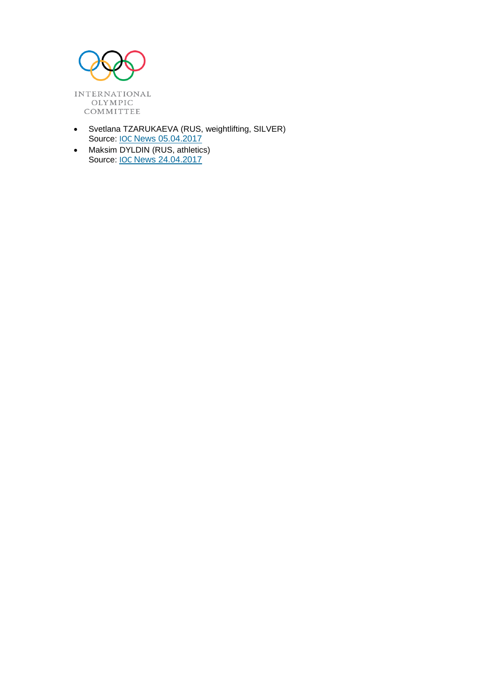

- Svetlana TZARUKAEVA (RUS, weightlifting, SILVER) Source: IOC [News 05.04.2017](https://www.olympic.org/news/ioc-sanctions-three-athletes-for-failing-anti-doping-test-at-beijing-2008-and-london-2012)
- Maksim DYLDIN (RUS, athletics) Source: IOC [News 24.04.2017](https://www.olympic.org/news/ioc-sanctions-two-athletes-for-failing-anti-doping-test-at-beijing-2008-and-london-2012)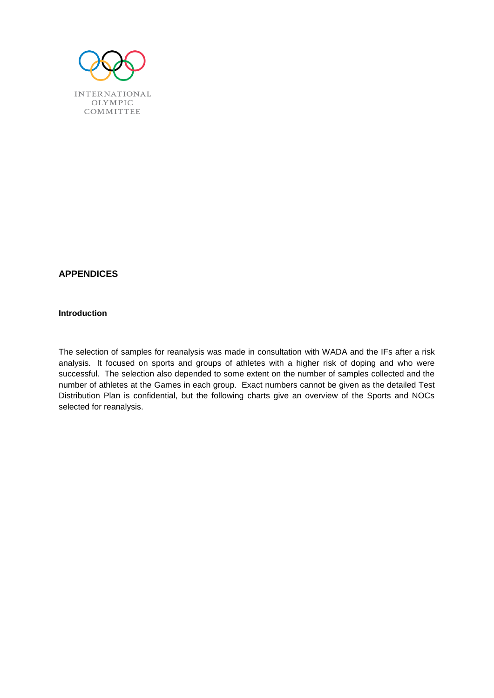

# **APPENDICES**

## **Introduction**

The selection of samples for reanalysis was made in consultation with WADA and the IFs after a risk analysis. It focused on sports and groups of athletes with a higher risk of doping and who were successful. The selection also depended to some extent on the number of samples collected and the number of athletes at the Games in each group. Exact numbers cannot be given as the detailed Test Distribution Plan is confidential, but the following charts give an overview of the Sports and NOCs selected for reanalysis.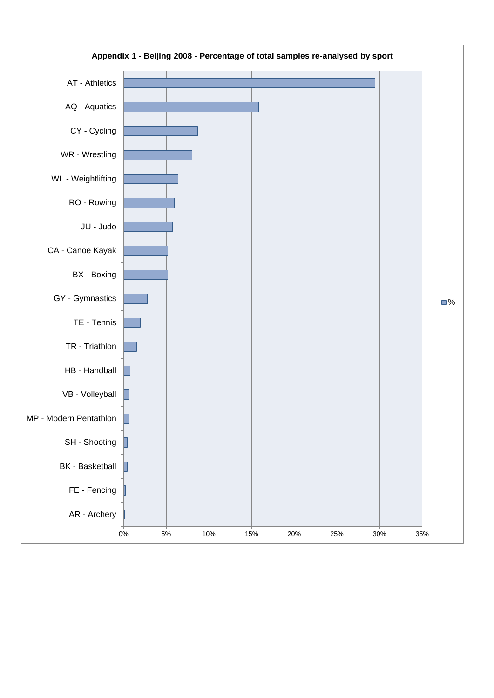